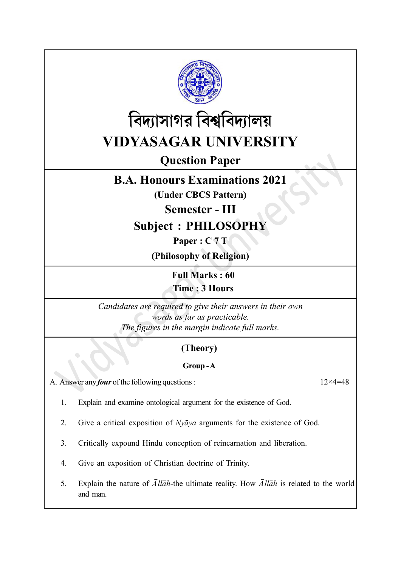



# Question Paper

## B.A. Honours Examinations 2021

(Under CBCS Pattern)

Semester - III

Subject : PHILOSOPHY

Paper : C 7 T

(Philosophy of Religion)

Full Marks : 60 Time : 3 Hours

Candidates are required to give their answers in their own words as far as practicable. The figures in the margin indicate full marks.

### (Theory)

### Group - A

A. Answer any *four* of the following questions :  $12 \times 4 = 48$ 

1. Explain and examine ontological argument for the existence of God.

2. Give a critical exposition of  $Ny\bar{a}ya$  arguments for the existence of God.

- 3. Critically expound Hindu conception of reincarnation and liberation.
- 4. Give an exposition of Christian doctrine of Trinity.
- 5. Explain the nature of  $\overline{A}$ llah-the ultimate reality. How  $\overline{A}$ llah is related to the world and man.